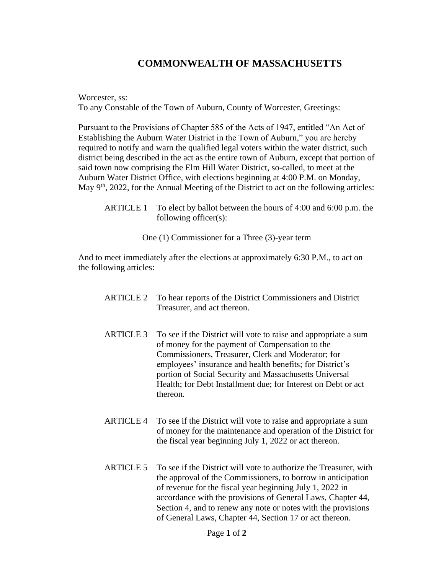## **COMMONWEALTH OF MASSACHUSETTS**

Worcester, ss: To any Constable of the Town of Auburn, County of Worcester, Greetings:

Pursuant to the Provisions of Chapter 585 of the Acts of 1947, entitled "An Act of Establishing the Auburn Water District in the Town of Auburn," you are hereby required to notify and warn the qualified legal voters within the water district, such district being described in the act as the entire town of Auburn, except that portion of said town now comprising the Elm Hill Water District, so-called, to meet at the Auburn Water District Office, with elections beginning at 4:00 P.M. on Monday, May 9<sup>th</sup>, 2022, for the Annual Meeting of the District to act on the following articles:

ARTICLE 1 To elect by ballot between the hours of 4:00 and 6:00 p.m. the following officer(s):

One (1) Commissioner for a Three (3)-year term

And to meet immediately after the elections at approximately 6:30 P.M., to act on the following articles:

| <b>ARTICLE 2</b> | To hear reports of the District Commissioners and District<br>Treasurer, and act thereon.                                                                                                                                                                                                                                                                                   |
|------------------|-----------------------------------------------------------------------------------------------------------------------------------------------------------------------------------------------------------------------------------------------------------------------------------------------------------------------------------------------------------------------------|
| <b>ARTICLE 3</b> | To see if the District will vote to raise and appropriate a sum<br>of money for the payment of Compensation to the<br>Commissioners, Treasurer, Clerk and Moderator; for<br>employees' insurance and health benefits; for District's<br>portion of Social Security and Massachusetts Universal<br>Health; for Debt Installment due; for Interest on Debt or act<br>thereon. |
| <b>ARTICLE 4</b> | To see if the District will vote to raise and appropriate a sum<br>of money for the maintenance and operation of the District for<br>the fiscal year beginning July 1, 2022 or act thereon.                                                                                                                                                                                 |
| <b>ARTICLE 5</b> | To see if the District will vote to authorize the Treasurer, with<br>the approval of the Commissioners, to borrow in anticipation<br>of revenue for the fiscal year beginning July 1, 2022 in<br>accordance with the provisions of General Laws, Chapter 44,<br>Section 4, and to renew any note or notes with the provisions                                               |

of General Laws, Chapter 44, Section 17 or act thereon.